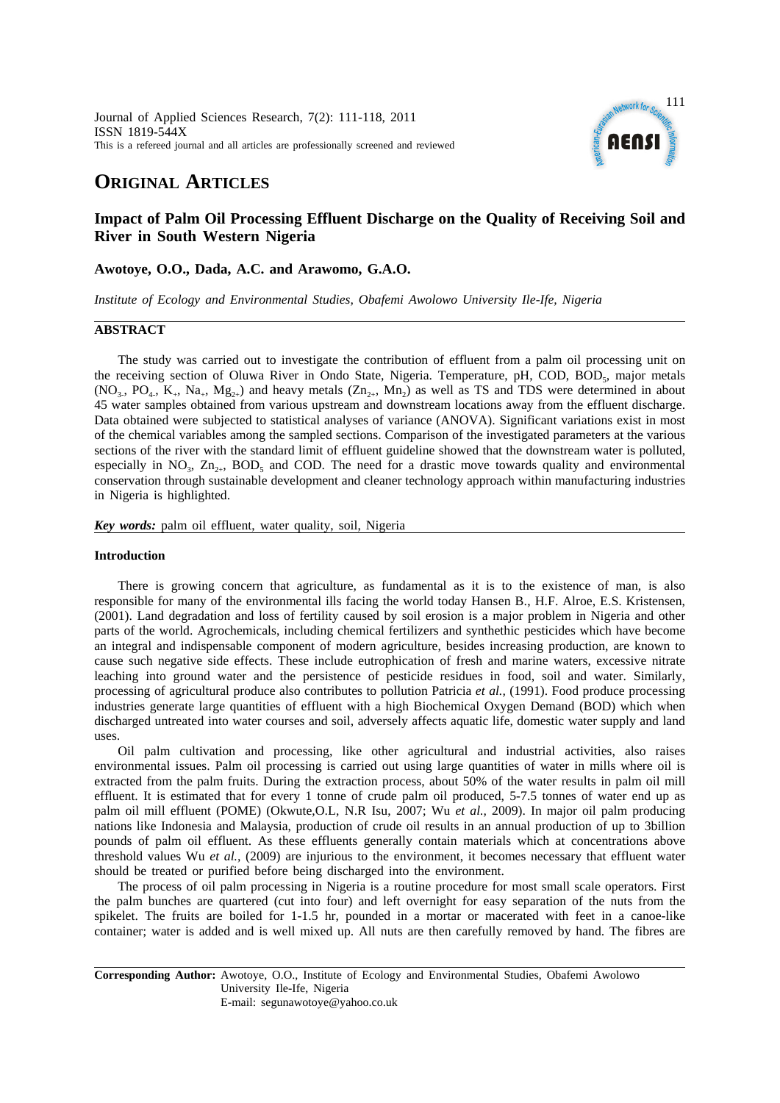

# **ORIGINAL ARTICLES**

## **Impact of Palm Oil Processing Effluent Discharge on the Quality of Receiving Soil and River in South Western Nigeria**

## **Awotoye, O.O., Dada, A.C. and Arawomo, G.A.O.**

*Institute of Ecology and Environmental Studies, Obafemi Awolowo University Ile-Ife, Nigeria*

## **ABSTRACT**

The study was carried out to investigate the contribution of effluent from a palm oil processing unit on the receiving section of Oluwa River in Ondo State, Nigeria. Temperature, pH, COD, BOD<sub>5</sub>, major metals  $(NO<sub>3</sub>, PO<sub>4</sub>, K<sub>+</sub>, Na<sub>+</sub>, Mg<sub>2+</sub>)$  and heavy metals  $(Zn<sub>2+</sub>, Mn<sub>2</sub>)$  as well as TS and TDS were determined in about 45 water samples obtained from various upstream and downstream locations away from the effluent discharge. Data obtained were subjected to statistical analyses of variance (ANOVA). Significant variations exist in most of the chemical variables among the sampled sections. Comparison of the investigated parameters at the various sections of the river with the standard limit of effluent guideline showed that the downstream water is polluted, especially in  $NO_3$ ,  $Zn_{2+}$ ,  $BOD_5$  and COD. The need for a drastic move towards quality and environmental conservation through sustainable development and cleaner technology approach within manufacturing industries in Nigeria is highlighted.

*Key words:* palm oil effluent, water quality, soil, Nigeria

## **Introduction**

There is growing concern that agriculture, as fundamental as it is to the existence of man, is also responsible for many of the environmental ills facing the world today Hansen B., H.F. Alroe, E.S. Kristensen, (2001). Land degradation and loss of fertility caused by soil erosion is a major problem in Nigeria and other parts of the world. Agrochemicals, including chemical fertilizers and synthethic pesticides which have become an integral and indispensable component of modern agriculture, besides increasing production, are known to cause such negative side effects. These include eutrophication of fresh and marine waters, excessive nitrate leaching into ground water and the persistence of pesticide residues in food, soil and water. Similarly, processing of agricultural produce also contributes to pollution Patricia *et al.,* (1991). Food produce processing industries generate large quantities of effluent with a high Biochemical Oxygen Demand (BOD) which when discharged untreated into water courses and soil, adversely affects aquatic life, domestic water supply and land uses.

Oil palm cultivation and processing, like other agricultural and industrial activities, also raises environmental issues. Palm oil processing is carried out using large quantities of water in mills where oil is extracted from the palm fruits. During the extraction process, about 50% of the water results in palm oil mill effluent. It is estimated that for every 1 tonne of crude palm oil produced, 5-7.5 tonnes of water end up as palm oil mill effluent (POME) (Okwute,O.L, N.R Isu, 2007; Wu *et al.,* 2009). In major oil palm producing nations like Indonesia and Malaysia, production of crude oil results in an annual production of up to 3billion pounds of palm oil effluent. As these effluents generally contain materials which at concentrations above threshold values Wu *et al.,* (2009) are injurious to the environment, it becomes necessary that effluent water should be treated or purified before being discharged into the environment.

The process of oil palm processing in Nigeria is a routine procedure for most small scale operators. First the palm bunches are quartered (cut into four) and left overnight for easy separation of the nuts from the spikelet. The fruits are boiled for 1-1.5 hr, pounded in a mortar or macerated with feet in a canoe-like container; water is added and is well mixed up. All nuts are then carefully removed by hand. The fibres are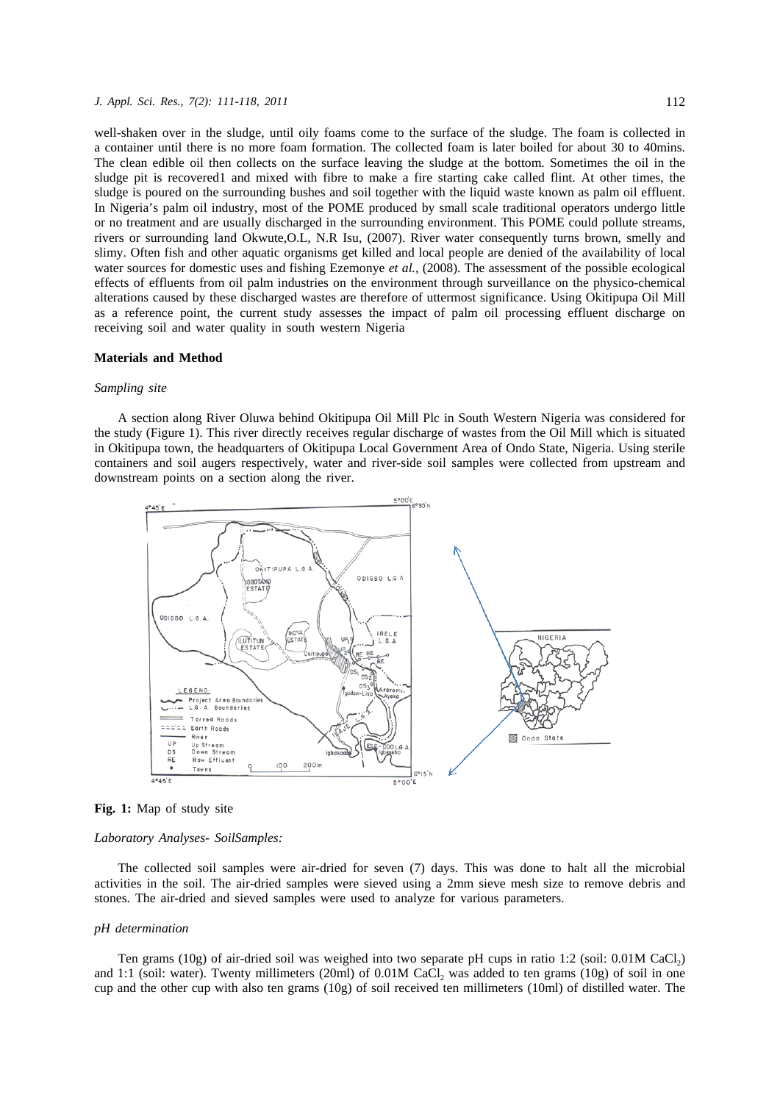#### *J. Appl. Sci. Res., 7(2): 111-118, 2011* 112

well-shaken over in the sludge, until oily foams come to the surface of the sludge. The foam is collected in a container until there is no more foam formation. The collected foam is later boiled for about 30 to 40mins. The clean edible oil then collects on the surface leaving the sludge at the bottom. Sometimes the oil in the sludge pit is recovered1 and mixed with fibre to make a fire starting cake called flint. At other times, the sludge is poured on the surrounding bushes and soil together with the liquid waste known as palm oil effluent. In Nigeria's palm oil industry, most of the POME produced by small scale traditional operators undergo little or no treatment and are usually discharged in the surrounding environment. This POME could pollute streams, rivers or surrounding land Okwute,O.L, N.R Isu, (2007). River water consequently turns brown, smelly and slimy. Often fish and other aquatic organisms get killed and local people are denied of the availability of local water sources for domestic uses and fishing Ezemonye *et al.,* (2008). The assessment of the possible ecological effects of effluents from oil palm industries on the environment through surveillance on the physico-chemical alterations caused by these discharged wastes are therefore of uttermost significance. Using Okitipupa Oil Mill as a reference point, the current study assesses the impact of palm oil processing effluent discharge on receiving soil and water quality in south western Nigeria

#### **Materials and Method**

#### *Sampling site*

A section along River Oluwa behind Okitipupa Oil Mill Plc in South Western Nigeria was considered for the study (Figure 1). This river directly receives regular discharge of wastes from the Oil Mill which is situated in Okitipupa town, the headquarters of Okitipupa Local Government Area of Ondo State, Nigeria. Using sterile containers and soil augers respectively, water and river-side soil samples were collected from upstream and downstream points on a section along the river.





#### *Laboratory Analyses- SoilSamples:*

The collected soil samples were air-dried for seven (7) days. This was done to halt all the microbial activities in the soil. The air-dried samples were sieved using a 2mm sieve mesh size to remove debris and stones. The air-dried and sieved samples were used to analyze for various parameters.

#### *pH determination*

Ten grams (10g) of air-dried soil was weighed into two separate pH cups in ratio 1:2 (soil:  $0.01M$  CaCl<sub>2</sub>) and 1:1 (soil: water). Twenty millimeters (20ml) of  $0.01M$  CaCl, was added to ten grams (10g) of soil in one cup and the other cup with also ten grams (10g) of soil received ten millimeters (10ml) of distilled water. The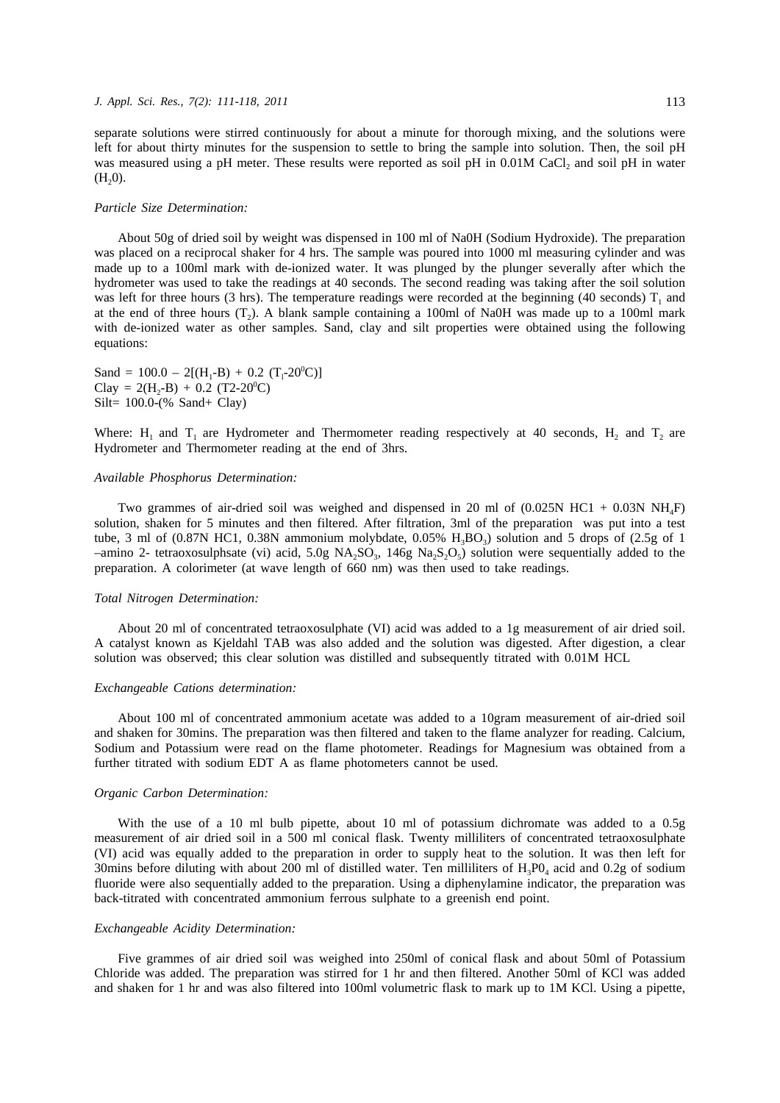separate solutions were stirred continuously for about a minute for thorough mixing, and the solutions were left for about thirty minutes for the suspension to settle to bring the sample into solution. Then, the soil pH was measured using a pH meter. These results were reported as soil pH in 0.01M CaCl<sub>2</sub> and soil pH in water  $(H<sub>2</sub>0)$ .

#### *Particle Size Determination:*

About 50g of dried soil by weight was dispensed in 100 ml of Na0H (Sodium Hydroxide). The preparation was placed on a reciprocal shaker for 4 hrs. The sample was poured into 1000 ml measuring cylinder and was made up to a 100ml mark with de-ionized water. It was plunged by the plunger severally after which the hydrometer was used to take the readings at 40 seconds. The second reading was taking after the soil solution was left for three hours (3 hrs). The temperature readings were recorded at the beginning (40 seconds)  $T_1$  and at the end of three hours  $(T<sub>2</sub>)$ . A blank sample containing a 100ml of Na0H was made up to a 100ml mark with de-ionized water as other samples. Sand, clay and silt properties were obtained using the following equations:

Sand =  $100.0 - 2[(H_1-B) + 0.2 (T_1-20^0C)]$ Clay =  $2(H_2-B) + 0.2$  (T2-20<sup>0</sup>C) Silt= 100.0-(% Sand+ Clay)

Where:  $H_1$  and  $T_1$  are Hydrometer and Thermometer reading respectively at 40 seconds,  $H_2$  and  $T_2$  are Hydrometer and Thermometer reading at the end of 3hrs.

#### *Available Phosphorus Determination:*

Two grammes of air-dried soil was weighed and dispensed in 20 ml of  $(0.025N HCl + 0.03N NH<sub>4</sub>F)$ solution, shaken for 5 minutes and then filtered. After filtration, 3ml of the preparation was put into a test tube, 3 ml of (0.87N HC1, 0.38N ammonium molybdate, 0.05%  $H_3BO_3$ ) solution and 5 drops of (2.5g of 1 –amino 2- tetraoxosulphsate (vi) acid, 5.0g NA<sub>2</sub>SO<sub>3</sub>, 146g Na<sub>2</sub>S<sub>2</sub>O<sub>5</sub>) solution were sequentially added to the preparation. A colorimeter (at wave length of 660 nm) was then used to take readings.

#### *Total Nitrogen Determination:*

About 20 ml of concentrated tetraoxosulphate (VI) acid was added to a 1g measurement of air dried soil. A catalyst known as Kjeldahl TAB was also added and the solution was digested. After digestion, a clear solution was observed; this clear solution was distilled and subsequently titrated with 0.01M HCL

#### *Exchangeable Cations determination:*

About 100 ml of concentrated ammonium acetate was added to a 10gram measurement of air-dried soil and shaken for 30mins. The preparation was then filtered and taken to the flame analyzer for reading. Calcium, Sodium and Potassium were read on the flame photometer. Readings for Magnesium was obtained from a further titrated with sodium EDT A as flame photometers cannot be used.

#### *Organic Carbon Determination:*

With the use of a 10 ml bulb pipette, about 10 ml of potassium dichromate was added to a 0.5g measurement of air dried soil in a 500 ml conical flask. Twenty milliliters of concentrated tetraoxosulphate (VI) acid was equally added to the preparation in order to supply heat to the solution. It was then left for 30mins before diluting with about 200 ml of distilled water. Ten milliliters of  $H_3P0_4$  acid and 0.2g of sodium fluoride were also sequentially added to the preparation. Using a diphenylamine indicator, the preparation was back-titrated with concentrated ammonium ferrous sulphate to a greenish end point.

#### *Exchangeable Acidity Determination:*

Five grammes of air dried soil was weighed into 250ml of conical flask and about 50ml of Potassium Chloride was added. The preparation was stirred for 1 hr and then filtered. Another 50ml of KCl was added and shaken for 1 hr and was also filtered into 100ml volumetric flask to mark up to 1M KCl. Using a pipette,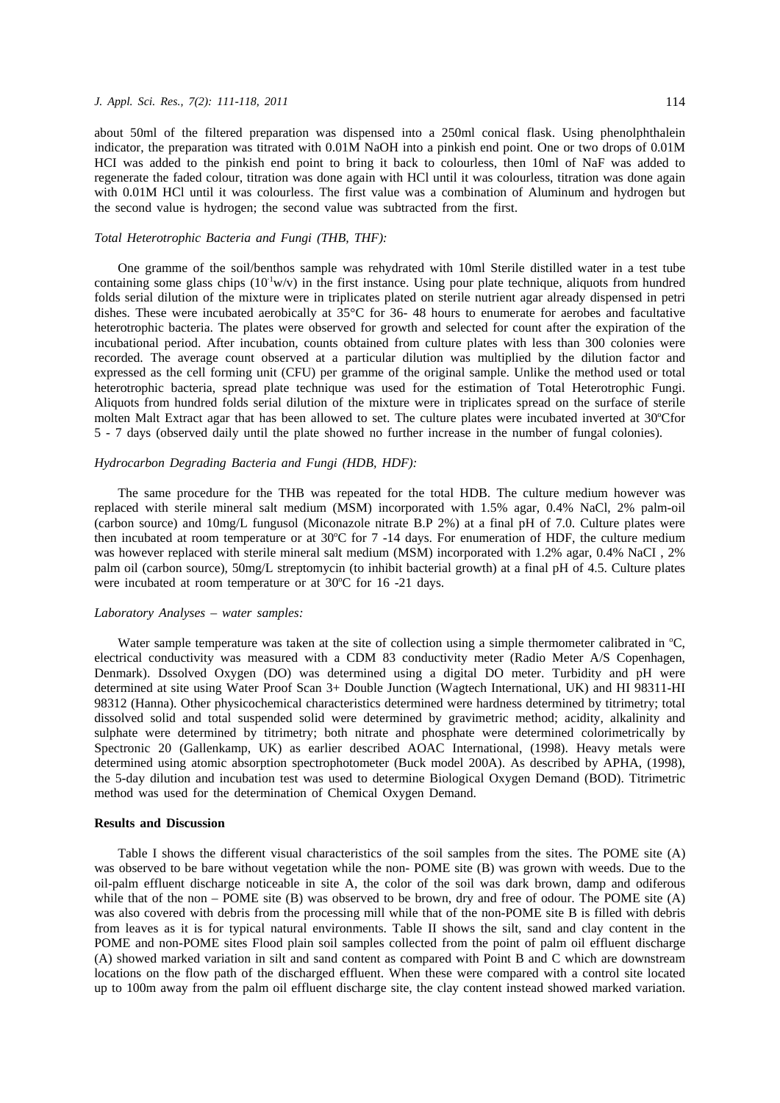#### *J. Appl. Sci. Res., 7(2): 111-118, 2011* 114

about 50ml of the filtered preparation was dispensed into a 250ml conical flask. Using phenolphthalein indicator, the preparation was titrated with 0.01M NaOH into a pinkish end point. One or two drops of 0.01M HCI was added to the pinkish end point to bring it back to colourless, then 10ml of NaF was added to regenerate the faded colour, titration was done again with HCl until it was colourless, titration was done again with 0.01M HCl until it was colourless. The first value was a combination of Aluminum and hydrogen but the second value is hydrogen; the second value was subtracted from the first.

## *Total Heterotrophic Bacteria and Fungi (THB, THF):*

One gramme of the soil/benthos sample was rehydrated with 10ml Sterile distilled water in a test tube containing some glass chips  $(10<sup>1</sup> w/v)$  in the first instance. Using pour plate technique, aliquots from hundred folds serial dilution of the mixture were in triplicates plated on sterile nutrient agar already dispensed in petri dishes. These were incubated aerobically at 35°C for 36- 48 hours to enumerate for aerobes and facultative heterotrophic bacteria. The plates were observed for growth and selected for count after the expiration of the incubational period. After incubation, counts obtained from culture plates with less than 300 colonies were recorded. The average count observed at a particular dilution was multiplied by the dilution factor and expressed as the cell forming unit (CFU) per gramme of the original sample. Unlike the method used or total heterotrophic bacteria, spread plate technique was used for the estimation of Total Heterotrophic Fungi. Aliquots from hundred folds serial dilution of the mixture were in triplicates spread on the surface of sterile molten Malt Extract agar that has been allowed to set. The culture plates were incubated inverted at 30°Cfor 5 - 7 days (observed daily until the plate showed no further increase in the number of fungal colonies).

## *Hydrocarbon Degrading Bacteria and Fungi (HDB, HDF):*

The same procedure for the THB was repeated for the total HDB. The culture medium however was replaced with sterile mineral salt medium (MSM) incorporated with 1.5% agar, 0.4% NaCl, 2% palm-oil (carbon source) and 10mg/L fungusol (Miconazole nitrate B.P 2%) at a final pH of 7.0. Culture plates were then incubated at room temperature or at 30°C for 7 -14 days. For enumeration of HDF, the culture medium was however replaced with sterile mineral salt medium (MSM) incorporated with 1.2% agar, 0.4% NaCI, 2% palm oil (carbon source), 50mg/L streptomycin (to inhibit bacterial growth) at a final pH of 4.5. Culture plates were incubated at room temperature or at 30°C for 16 -21 days.

#### *Laboratory Analyses – water samples:*

Water sample temperature was taken at the site of collection using a simple thermometer calibrated in  $\degree C$ , electrical conductivity was measured with a CDM 83 conductivity meter (Radio Meter A/S Copenhagen, Denmark). Dssolved Oxygen (DO) was determined using a digital DO meter. Turbidity and pH were determined at site using Water Proof Scan 3+ Double Junction (Wagtech International, UK) and HI 98311-HI 98312 (Hanna). Other physicochemical characteristics determined were hardness determined by titrimetry; total dissolved solid and total suspended solid were determined by gravimetric method; acidity, alkalinity and sulphate were determined by titrimetry; both nitrate and phosphate were determined colorimetrically by Spectronic 20 (Gallenkamp, UK) as earlier described AOAC International, (1998). Heavy metals were determined using atomic absorption spectrophotometer (Buck model 200A). As described by APHA, (1998), the 5-day dilution and incubation test was used to determine Biological Oxygen Demand (BOD). Titrimetric method was used for the determination of Chemical Oxygen Demand.

### **Results and Discussion**

Table I shows the different visual characteristics of the soil samples from the sites. The POME site (A) was observed to be bare without vegetation while the non- POME site (B) was grown with weeds. Due to the oil-palm effluent discharge noticeable in site A, the color of the soil was dark brown, damp and odiferous while that of the non – POME site (B) was observed to be brown, dry and free of odour. The POME site (A) was also covered with debris from the processing mill while that of the non-POME site B is filled with debris from leaves as it is for typical natural environments. Table II shows the silt, sand and clay content in the POME and non-POME sites Flood plain soil samples collected from the point of palm oil effluent discharge (A) showed marked variation in silt and sand content as compared with Point B and C which are downstream locations on the flow path of the discharged effluent. When these were compared with a control site located up to 100m away from the palm oil effluent discharge site, the clay content instead showed marked variation.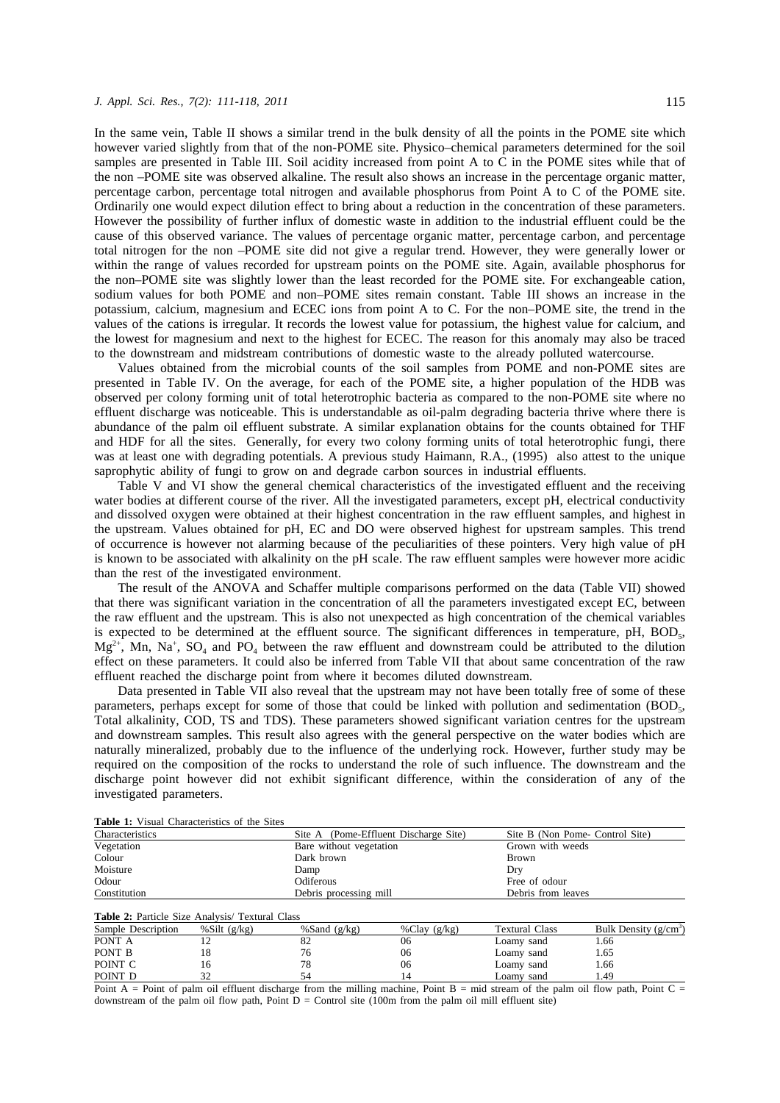In the same vein, Table II shows a similar trend in the bulk density of all the points in the POME site which however varied slightly from that of the non-POME site. Physico–chemical parameters determined for the soil samples are presented in Table III. Soil acidity increased from point A to C in the POME sites while that of the non –POME site was observed alkaline. The result also shows an increase in the percentage organic matter, percentage carbon, percentage total nitrogen and available phosphorus from Point A to C of the POME site. Ordinarily one would expect dilution effect to bring about a reduction in the concentration of these parameters. However the possibility of further influx of domestic waste in addition to the industrial effluent could be the cause of this observed variance. The values of percentage organic matter, percentage carbon, and percentage total nitrogen for the non –POME site did not give a regular trend. However, they were generally lower or within the range of values recorded for upstream points on the POME site. Again, available phosphorus for the non–POME site was slightly lower than the least recorded for the POME site. For exchangeable cation, sodium values for both POME and non–POME sites remain constant. Table III shows an increase in the potassium, calcium, magnesium and ECEC ions from point A to C. For the non–POME site, the trend in the values of the cations is irregular. It records the lowest value for potassium, the highest value for calcium, and the lowest for magnesium and next to the highest for ECEC. The reason for this anomaly may also be traced to the downstream and midstream contributions of domestic waste to the already polluted watercourse.

Values obtained from the microbial counts of the soil samples from POME and non-POME sites are presented in Table IV. On the average, for each of the POME site, a higher population of the HDB was observed per colony forming unit of total heterotrophic bacteria as compared to the non-POME site where no effluent discharge was noticeable. This is understandable as oil-palm degrading bacteria thrive where there is abundance of the palm oil effluent substrate. A similar explanation obtains for the counts obtained for THF and HDF for all the sites. Generally, for every two colony forming units of total heterotrophic fungi, there was at least one with degrading potentials. A previous study Haimann, R.A., (1995) also attest to the unique saprophytic ability of fungi to grow on and degrade carbon sources in industrial effluents.

Table V and VI show the general chemical characteristics of the investigated effluent and the receiving water bodies at different course of the river. All the investigated parameters, except pH, electrical conductivity and dissolved oxygen were obtained at their highest concentration in the raw effluent samples, and highest in the upstream. Values obtained for pH, EC and DO were observed highest for upstream samples. This trend of occurrence is however not alarming because of the peculiarities of these pointers. Very high value of pH is known to be associated with alkalinity on the pH scale. The raw effluent samples were however more acidic than the rest of the investigated environment.

The result of the ANOVA and Schaffer multiple comparisons performed on the data (Table VII) showed that there was significant variation in the concentration of all the parameters investigated except EC, between the raw effluent and the upstream. This is also not unexpected as high concentration of the chemical variables is expected to be determined at the effluent source. The significant differences in temperature,  $pH$ ,  $BOD<sub>5</sub>$ ,  $Mg^{2+}$ , Mn, Na<sup>+</sup>, SO<sub>4</sub> and PO<sub>4</sub> between the raw effluent and downstream could be attributed to the dilution effect on these parameters. It could also be inferred from Table VII that about same concentration of the raw effluent reached the discharge point from where it becomes diluted downstream.

Data presented in Table VII also reveal that the upstream may not have been totally free of some of these parameters, perhaps except for some of those that could be linked with pollution and sedimentation (BOD<sub>5</sub>, Total alkalinity, COD, TS and TDS). These parameters showed significant variation centres for the upstream and downstream samples. This result also agrees with the general perspective on the water bodies which are naturally mineralized, probably due to the influence of the underlying rock. However, further study may be required on the composition of the rocks to understand the role of such influence. The downstream and the discharge point however did not exhibit significant difference, within the consideration of any of the investigated parameters.

| Characteristics                                        |                 |                         | Site A (Pome-Effluent Discharge Site) |                       | Site B (Non Pome- Control Site) |  |  |
|--------------------------------------------------------|-----------------|-------------------------|---------------------------------------|-----------------------|---------------------------------|--|--|
| Vegetation                                             |                 | Bare without vegetation |                                       | Grown with weeds      |                                 |  |  |
| Colour                                                 |                 | Dark brown              |                                       | <b>Brown</b>          |                                 |  |  |
| Moisture                                               |                 | Damp                    |                                       | Dry                   |                                 |  |  |
| Odour                                                  |                 | Odiferous               |                                       | Free of odour         |                                 |  |  |
| Constitution                                           |                 |                         | Debris processing mill                |                       | Debris from leaves              |  |  |
| <b>Table 2: Particle Size Analysis/ Textural Class</b> |                 |                         |                                       |                       |                                 |  |  |
| Sample Description                                     | % Silt $(g/kg)$ | %Sand $(g/kg)$          | %Clay $(g/kg)$                        | <b>Textural Class</b> | Bulk Density ( $g/cm3$ )        |  |  |
| PONT A                                                 | 12              | 82                      | 06                                    | Loamy sand            | 1.66                            |  |  |
| PONT B                                                 | 18              | 76                      | 06                                    | Loamy sand            | 1.65                            |  |  |
| POINT C                                                | 16              | 78                      | 06                                    | Loamy sand            | 1.66                            |  |  |

**Table 1:** Visual Characteristics of the Sites

Point A = Point of palm oil effluent discharge from the milling machine, Point B = mid stream of the palm oil flow path, Point C = downstream of the palm oil flow path, Point  $D =$  Control site (100m from the palm oil mill effluent site)

POINT D 32 54 14 Loamy sand 1.49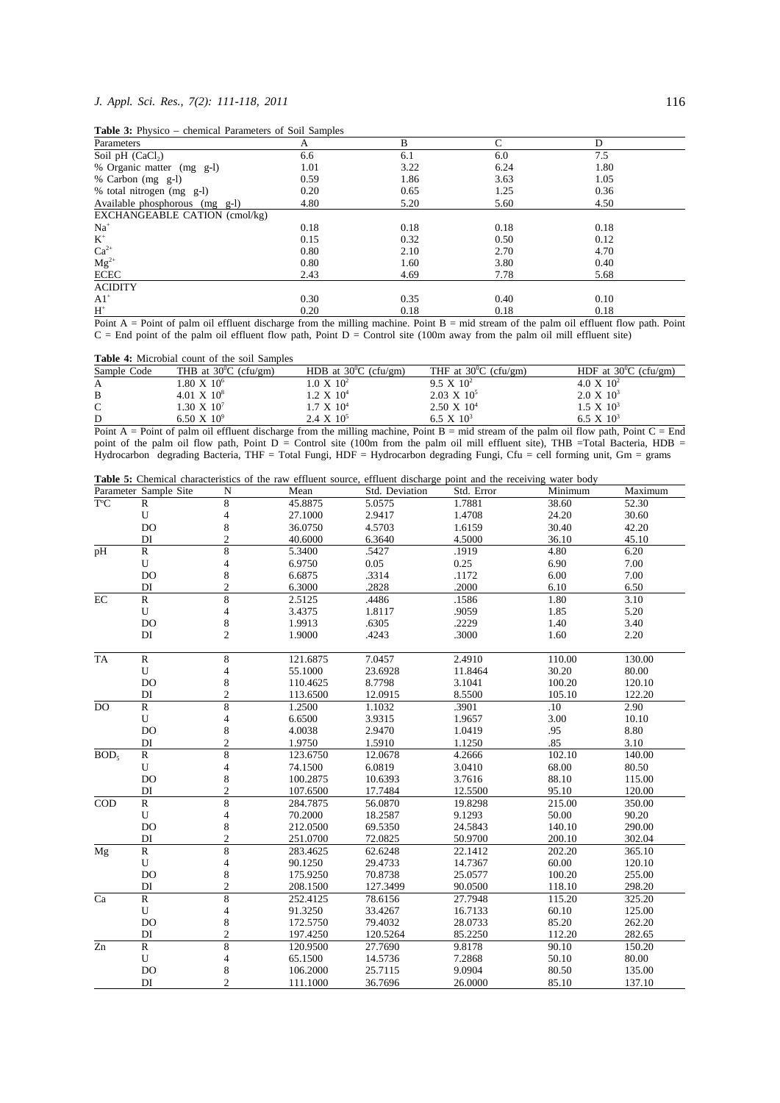## *J. Appl. Sci. Res., 7(2): 111-118, 2011* 116

**Table 3:** Physico – chemical Parameters of Soil Samples

| <b>Table 5:</b> Thysico chemical Farameters of Bolf Bampies |      |                      |                                  |                           |                      |  |  |  |  |
|-------------------------------------------------------------|------|----------------------|----------------------------------|---------------------------|----------------------|--|--|--|--|
| Parameters                                                  | A    | B                    | С                                | D                         |                      |  |  |  |  |
| Soil pH $(CaCl2)$                                           | 6.6  | 6.1                  | 6.0                              | 7.5                       |                      |  |  |  |  |
| % Organic matter (mg g-l)                                   | 1.01 | 3.22                 | 6.24                             | 1.80                      |                      |  |  |  |  |
| % Carbon (mg g-l)                                           | 0.59 | 1.86                 | 3.63                             | 1.05                      |                      |  |  |  |  |
| % total nitrogen (mg g-l)                                   | 0.20 | 0.65                 | 1.25                             | 0.36                      |                      |  |  |  |  |
| Available phosphorous (mg g-l)                              | 4.80 | 5.20                 | 5.60                             | 4.50                      |                      |  |  |  |  |
| EXCHANGEABLE CATION (cmol/kg)                               |      |                      |                                  |                           |                      |  |  |  |  |
| $Na+$                                                       | 0.18 | 0.18                 | 0.18                             | 0.18                      |                      |  |  |  |  |
| $K^+$                                                       | 0.15 | 0.32                 | 0.50                             | 0.12                      |                      |  |  |  |  |
| $Ca^{2+}$                                                   | 0.80 | 2.10                 | 2.70                             | 4.70                      |                      |  |  |  |  |
| $Mg^{2+}$                                                   | 0.80 | 1.60                 | 3.80                             | 0.40                      |                      |  |  |  |  |
| <b>ECEC</b>                                                 | 2.43 | 4.69                 | 7.78                             | 5.68                      |                      |  |  |  |  |
| <b>ACIDITY</b>                                              |      |                      |                                  |                           |                      |  |  |  |  |
| $A1$ <sup>+</sup>                                           | 0.30 | 0.35                 | 0.40                             | 0.10                      |                      |  |  |  |  |
| $H^+$                                                       | 0.20 | 0.18                 | 0.18                             | 0.18                      |                      |  |  |  |  |
| <b>Primerical</b><br>$\cdots$                               |      | $\cdot$ $\cdot$<br>. | $\cdot$ $\cdot$<br>$\sim$ $\sim$ | $\cdots$<br>$\sim$ $\sim$ | $\sim$ $\sim$ $\sim$ |  |  |  |  |

Point A = Point of palm oil effluent discharge from the milling machine. Point B = mid stream of the palm oil effluent flow path. Point  $C =$  End point of the palm oil effluent flow path, Point  $D =$  Control site (100m away from the palm oil mill effluent site)

**Table 4:** Microbial count of the soil Samples

| Sample Code | THB at $30^{\circ}$ C (cfu/gm) | HDB at $30^{\circ}$ C (cfu/gm) | THF at $30^{\circ}$ C (cfu/gm) | HDF at $30^{\circ}$ C (cfu/gm) |
|-------------|--------------------------------|--------------------------------|--------------------------------|--------------------------------|
| A           | $1.80 \times 10^{6}$           | $.0 \times 10^2$               | $9.5 \times 10^2$              | $4.0 \times 10^{2}$            |
| B           | $4.01 \times 10^8$             | $1.2 \, \mathrm{X} \, 10^{4}$  | $2.03 \times 10^5$             | $2.0 \times 10^3$              |
| $\Gamma$    | 1.30 X $10^7$                  | $1.7 \times 10^4$              | $2.50 \times 10^4$             | $1.5 \times 10^3$              |
| D           | 6.50 X $10^9$                  | $2.4 \times 10^5$              | 6.5 X $10^3$                   | 6.5 X $10^3$                   |

Point A = Point of palm oil effluent discharge from the milling machine, Point B = mid stream of the palm oil flow path, Point C = End point of the palm oil flow path, Point D = Control site (100m from the palm oil mill effluent site), THB =Total Bacteria, HDB = Hydrocarbon degrading Bacteria, THF = Total Fungi, HDF = Hydrocarbon degrading Fungi, Cfu = cell forming unit, Gm = grams

|  | Table 5: Chemical characteristics of the raw effluent source, effluent discharge point and the receiving water body |  |  |  |  |  |  |
|--|---------------------------------------------------------------------------------------------------------------------|--|--|--|--|--|--|
|  |                                                                                                                     |  |  |  |  |  |  |

|                  | Parameter Sample Site | N                        | <b>Table 3.</b> Chemical characteristics of the raw effitient source, effitient discharge point and the receiving water body<br>Mean | Std. Deviation   | Std. Error | Minimum | Maximum |
|------------------|-----------------------|--------------------------|--------------------------------------------------------------------------------------------------------------------------------------|------------------|------------|---------|---------|
| $T^{\circ}C$     |                       |                          |                                                                                                                                      | 5.0575           |            |         | 52.30   |
|                  | $\mathbb{R}$          | 8                        | 45.8875                                                                                                                              |                  | 1.7881     | 38.60   |         |
|                  | U<br><b>DO</b>        | 4                        | 27.1000                                                                                                                              | 2.9417<br>4.5703 | 1.4708     | 24.20   | 30.60   |
|                  |                       | 8                        | 36.0750                                                                                                                              |                  | 1.6159     | 30.40   | 42.20   |
|                  | DI                    | $\overline{2}$           | 40.6000                                                                                                                              | 6.3640           | 4.5000     | 36.10   | 45.10   |
| $\overline{pH}$  | $\mathbb{R}$          | 8                        | 5.3400                                                                                                                               | .5427            | .1919      | 4.80    | 6.20    |
|                  | U                     | $\overline{4}$           | 6.9750                                                                                                                               | 0.05             | 0.25       | 6.90    | 7.00    |
|                  | <b>DO</b>             | 8                        | 6.6875                                                                                                                               | .3314            | .1172      | 6.00    | 7.00    |
|                  | DI                    | $\mathbf{2}$             | 6.3000                                                                                                                               | .2828            | .2000      | 6.10    | 6.50    |
| $\rm EC$         | $\mathbb{R}$          | 8                        | 2.5125                                                                                                                               | .4486            | .1586      | 1.80    | 3.10    |
|                  | U                     | 4                        | 3.4375                                                                                                                               | 1.8117           | .9059      | 1.85    | 5.20    |
|                  | DO                    | $\,$ 8 $\,$              | 1.9913                                                                                                                               | .6305            | .2229      | 1.40    | 3.40    |
|                  | DI                    | $\overline{c}$           | 1.9000                                                                                                                               | .4243            | .3000      | 1.60    | 2.20    |
| <b>TA</b>        | ${\mathbb R}$         | 8                        | 121.6875                                                                                                                             | 7.0457           | 2.4910     | 110.00  | 130.00  |
|                  | U                     | 4                        | 55.1000                                                                                                                              | 23.6928          | 11.8464    | 30.20   | 80.00   |
|                  | <b>DO</b>             | 8                        | 110.4625                                                                                                                             | 8.7798           | 3.1041     | 100.20  | 120.10  |
|                  | DI                    | $\overline{c}$           | 113.6500                                                                                                                             | 12.0915          | 8.5500     | 105.10  | 122.20  |
| DO               | $\mathbb{R}$          | 8                        | 1.2500                                                                                                                               | 1.1032           | .3901      | .10     | 2.90    |
|                  | ${\bf U}$             | 4                        | 6.6500                                                                                                                               | 3.9315           | 1.9657     | 3.00    | 10.10   |
|                  | <b>DO</b>             | 8                        | 4.0038                                                                                                                               | 2.9470           | 1.0419     | .95     | 8.80    |
|                  | DI                    | $\overline{2}$           | 1.9750                                                                                                                               | 1.5910           | 1.1250     | .85     | 3.10    |
| BOD <sub>5</sub> | $\mathbb{R}$          | 8                        | 123.6750                                                                                                                             | 12.0678          | 4.2666     | 102.10  | 140.00  |
|                  | U                     | 4                        | 74.1500                                                                                                                              | 6.0819           | 3.0410     | 68.00   | 80.50   |
|                  | <b>DO</b>             | 8                        | 100.2875                                                                                                                             | 10.6393          | 3.7616     | 88.10   | 115.00  |
|                  | DI                    | $\overline{\mathcal{L}}$ | 107.6500                                                                                                                             | 17.7484          | 12.5500    | 95.10   | 120.00  |
| COD              | $\mathbb{R}$          | 8                        | 284.7875                                                                                                                             | 56.0870          | 19.8298    | 215.00  | 350.00  |
|                  | ${\bf U}$             | $\overline{4}$           | 70.2000                                                                                                                              | 18.2587          | 9.1293     | 50.00   | 90.20   |
|                  | <b>DO</b>             | 8                        | 212.0500                                                                                                                             | 69.5350          | 24.5843    | 140.10  | 290.00  |
|                  | DI                    | $\overline{2}$           | 251.0700                                                                                                                             | 72.0825          | 50.9700    | 200.10  | 302.04  |
| $\overline{M}g$  | $\mathbb{R}$          | $\,$ 8 $\,$              | 283.4625                                                                                                                             | 62.6248          | 22.1412    | 202.20  | 365.10  |
|                  | U                     | 4                        | 90.1250                                                                                                                              | 29.4733          | 14.7367    | 60.00   | 120.10  |
|                  | <b>DO</b>             | 8                        | 175.9250                                                                                                                             | 70.8738          | 25.0577    | 100.20  | 255.00  |
|                  | DI                    | $\overline{2}$           | 208.1500                                                                                                                             | 127.3499         | 90.0500    | 118.10  | 298.20  |
| $\overline{Ca}$  | $\mathbb{R}$          | $\,$ 8 $\,$              | 252.4125                                                                                                                             | 78.6156          | 27.7948    | 115.20  | 325.20  |
|                  | U                     | 4                        | 91.3250                                                                                                                              | 33.4267          | 16.7133    | 60.10   | 125.00  |
|                  | <b>DO</b>             | 8                        | 172.5750                                                                                                                             | 79.4032          | 28.0733    | 85.20   | 262.20  |
|                  | DI                    | $\overline{c}$           | 197.4250                                                                                                                             | 120.5264         | 85.2250    | 112.20  | 282.65  |
| Zn               | $\mathbb{R}$          | 8                        | 120.9500                                                                                                                             | 27.7690          | 9.8178     | 90.10   | 150.20  |
|                  | ${\bf U}$             | 4                        | 65.1500                                                                                                                              | 14.5736          | 7.2868     | 50.10   | 80.00   |
|                  | <b>DO</b>             | 8                        | 106.2000                                                                                                                             | 25.7115          | 9.0904     | 80.50   | 135.00  |
|                  | DI                    | $\mathfrak{2}$           | 111.1000                                                                                                                             | 36.7696          | 26.0000    | 85.10   | 137.10  |
|                  |                       |                          |                                                                                                                                      |                  |            |         |         |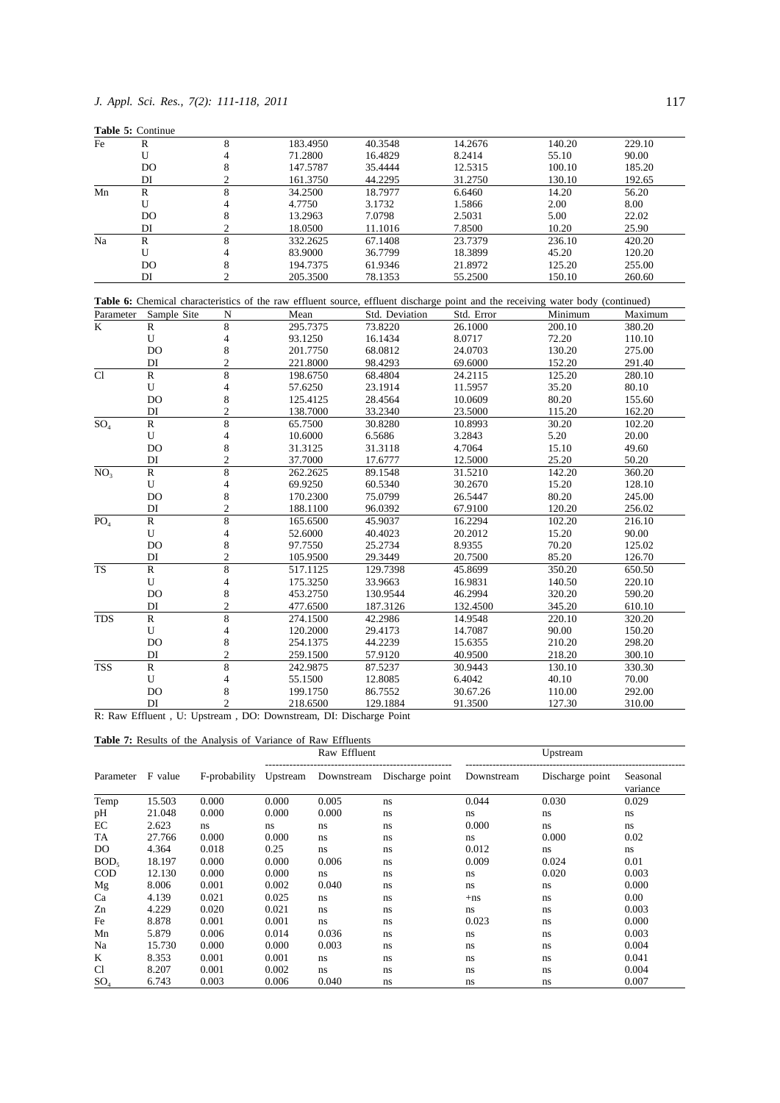| 8<br>183.4950<br>40.3548<br>229.10<br>Fe<br>R<br>14.2676<br>140.20<br>$\overline{\mathbf{4}}$<br>U<br>71.2800<br>16.4829<br>8.2414<br>55.10<br>90.00<br><b>DO</b><br>8<br>100.10<br>147.5787<br>35.4444<br>12.5315<br>185.20<br>DI<br>$\overline{c}$<br>44.2295<br>31.2750<br>161.3750<br>130.10<br>192.65<br>8<br>${\bf R}$<br>Mn<br>34.2500<br>18.7977<br>6.6460<br>14.20<br>56.20<br>${\bf U}$<br>4<br>2.00<br>8.00<br>4.7750<br>3.1732<br>1.5866<br>8<br><b>DO</b><br>5.00<br>22.02<br>13.2963<br>7.0798<br>2.5031<br>$\overline{c}$<br>DI<br>7.8500<br>25.90<br>18.0500<br>11.1016<br>10.20<br>Na<br>8<br>${\bf R}$<br>67.1408<br>236.10<br>332.2625<br>23.7379<br>420.20<br>${\bf U}$<br>36.7799<br>45.20<br>4<br>83.9000<br>18.3899<br>120.20<br>8<br><b>DO</b><br>61.9346<br>125.20<br>255.00<br>194.7375<br>21.8972<br>$\overline{c}$<br>DI<br>205.3500<br>78.1353<br>55.2500<br>150.10<br>260.60<br>Table 6: Chemical characteristics of the raw effluent source, effluent discharge point and the receiving water body (continued)<br>Sample Site<br>Std. Deviation<br>Std. Error<br>Minimum<br>Maximum<br>Parameter<br>N<br>Mean<br>$\overline{8}$<br>$\mathbf K$<br>$\mathbb{R}$<br>295.7375<br>73.8220<br>26.1000<br>200.10<br>380.20<br>$\overline{\mathbf{4}}$<br>16.1434<br>8.0717<br>72.20<br>110.10<br>U<br>93.1250<br>8<br><b>DO</b><br>68.0812<br>24.0703<br>130.20<br>201.7750<br>275.00<br>$\overline{c}$<br>DI<br>98.4293<br>152.20<br>291.40<br>221.8000<br>69.6000<br>$\overline{Cl}$<br>8<br>$\mathbb{R}$<br>198.6750<br>68.4804<br>125.20<br>280.10<br>24.2115<br>U<br>$\overline{\mathbf{4}}$<br>23.1914<br>35.20<br>80.10<br>57.6250<br>11.5957<br>8<br>80.20<br>DO<br>125.4125<br>28.4564<br>10.0609<br>155.60<br>DI<br>$\overline{c}$<br>33.2340<br>23.5000<br>115.20<br>162.20<br>138.7000<br>8<br>SO <sub>4</sub><br>${\bf R}$<br>30.20<br>65.7500<br>30.8280<br>10.8993<br>102.20<br>U<br>4<br>6.5686<br>3.2843<br>5.20<br>20.00<br>10.6000<br>8<br>DO<br>4.7064<br>15.10<br>49.60<br>31.3125<br>31.3118<br>$\overline{c}$<br>25.20<br>DI<br>37.7000<br>17.6777<br>12.5000<br>50.20<br>8<br>NO <sub>3</sub><br>${\bf R}$<br>89.1548<br>31.5210<br>142.20<br>262.2625<br>360.20<br>U<br>4<br>69.9250<br>60.5340<br>30.2670<br>15.20<br>128.10<br>8<br><b>DO</b><br>75.0799<br>80.20<br>170.2300<br>26.5447<br>245.00<br>$\overline{c}$<br>DI<br>96.0392<br>67.9100<br>120.20<br>256.02<br>188.1100<br>8<br>$\, {\bf R}$<br>PO <sub>4</sub><br>102.20<br>165.6500<br>45.9037<br>16.2294<br>216.10<br>U<br>4<br>52.6000<br>40.4023<br>20.2012<br>15.20<br>90.00<br><b>DO</b><br>8<br>25.2734<br>8.9355<br>70.20<br>125.02<br>97.7550<br>$\overline{2}$<br>DI<br>85.20<br>105.9500<br>29.3449<br>20.7500<br>126.70<br>8<br><b>TS</b><br>$\mathbb{R}$<br>129.7398<br>350.20<br>517.1125<br>45.8699<br>650.50<br>U<br>4<br>33.9663<br>16.9831<br>140.50<br>220.10<br>175.3250<br>8<br><b>DO</b><br>46.2994<br>453.2750<br>130.9544<br>320.20<br>590.20<br>$\overline{c}$<br>DI<br>187.3126<br>132.4500<br>345.20<br>610.10<br>477.6500<br>8<br><b>TDS</b><br>$\mathbb{R}$<br>42.2986<br>274.1500<br>14.9548<br>220.10<br>320.20<br>U<br>29.4173<br>14.7087<br>90.00<br>150.20<br>4<br>120.2000<br>8<br><b>DO</b><br>44.2239<br>15.6355<br>210.20<br>254.1375<br>298.20<br>$\overline{c}$<br>DI<br>259.1500<br>57.9120<br>40.9500<br>218.20<br>300.10<br>$\overline{8}$<br><b>TSS</b><br>$\mathbb{R}$<br>242.9875<br>87.5237<br>30.9443<br>130.10<br>330.30<br>U<br>$\overline{4}$<br>12.8085<br>6.4042<br>40.10<br>70.00<br>55.1500<br>8<br>DO<br>292.00<br>199.1750<br>86.7552<br>30.67.26<br>110.00<br>$\mathfrak{D}$<br>DI<br>218.6500<br>129.1884<br>91.3500<br>127.30<br>310.00 | Table 5: Continue |  |  |  |
|-------------------------------------------------------------------------------------------------------------------------------------------------------------------------------------------------------------------------------------------------------------------------------------------------------------------------------------------------------------------------------------------------------------------------------------------------------------------------------------------------------------------------------------------------------------------------------------------------------------------------------------------------------------------------------------------------------------------------------------------------------------------------------------------------------------------------------------------------------------------------------------------------------------------------------------------------------------------------------------------------------------------------------------------------------------------------------------------------------------------------------------------------------------------------------------------------------------------------------------------------------------------------------------------------------------------------------------------------------------------------------------------------------------------------------------------------------------------------------------------------------------------------------------------------------------------------------------------------------------------------------------------------------------------------------------------------------------------------------------------------------------------------------------------------------------------------------------------------------------------------------------------------------------------------------------------------------------------------------------------------------------------------------------------------------------------------------------------------------------------------------------------------------------------------------------------------------------------------------------------------------------------------------------------------------------------------------------------------------------------------------------------------------------------------------------------------------------------------------------------------------------------------------------------------------------------------------------------------------------------------------------------------------------------------------------------------------------------------------------------------------------------------------------------------------------------------------------------------------------------------------------------------------------------------------------------------------------------------------------------------------------------------------------------------------------------------------------------------------------------------------------------------------------------------------------------------------------------------------------------------------------------------------------------------------------------------------------------------------------------------------------------------------------------------------------------------------------------------------------------------------------------------------------------------------------------------------------------------------------------------------------------------------------------------------------------------------------------|-------------------|--|--|--|
|                                                                                                                                                                                                                                                                                                                                                                                                                                                                                                                                                                                                                                                                                                                                                                                                                                                                                                                                                                                                                                                                                                                                                                                                                                                                                                                                                                                                                                                                                                                                                                                                                                                                                                                                                                                                                                                                                                                                                                                                                                                                                                                                                                                                                                                                                                                                                                                                                                                                                                                                                                                                                                                                                                                                                                                                                                                                                                                                                                                                                                                                                                                                                                                                                                                                                                                                                                                                                                                                                                                                                                                                                                                                                                                   |                   |  |  |  |
|                                                                                                                                                                                                                                                                                                                                                                                                                                                                                                                                                                                                                                                                                                                                                                                                                                                                                                                                                                                                                                                                                                                                                                                                                                                                                                                                                                                                                                                                                                                                                                                                                                                                                                                                                                                                                                                                                                                                                                                                                                                                                                                                                                                                                                                                                                                                                                                                                                                                                                                                                                                                                                                                                                                                                                                                                                                                                                                                                                                                                                                                                                                                                                                                                                                                                                                                                                                                                                                                                                                                                                                                                                                                                                                   |                   |  |  |  |
|                                                                                                                                                                                                                                                                                                                                                                                                                                                                                                                                                                                                                                                                                                                                                                                                                                                                                                                                                                                                                                                                                                                                                                                                                                                                                                                                                                                                                                                                                                                                                                                                                                                                                                                                                                                                                                                                                                                                                                                                                                                                                                                                                                                                                                                                                                                                                                                                                                                                                                                                                                                                                                                                                                                                                                                                                                                                                                                                                                                                                                                                                                                                                                                                                                                                                                                                                                                                                                                                                                                                                                                                                                                                                                                   |                   |  |  |  |
|                                                                                                                                                                                                                                                                                                                                                                                                                                                                                                                                                                                                                                                                                                                                                                                                                                                                                                                                                                                                                                                                                                                                                                                                                                                                                                                                                                                                                                                                                                                                                                                                                                                                                                                                                                                                                                                                                                                                                                                                                                                                                                                                                                                                                                                                                                                                                                                                                                                                                                                                                                                                                                                                                                                                                                                                                                                                                                                                                                                                                                                                                                                                                                                                                                                                                                                                                                                                                                                                                                                                                                                                                                                                                                                   |                   |  |  |  |
|                                                                                                                                                                                                                                                                                                                                                                                                                                                                                                                                                                                                                                                                                                                                                                                                                                                                                                                                                                                                                                                                                                                                                                                                                                                                                                                                                                                                                                                                                                                                                                                                                                                                                                                                                                                                                                                                                                                                                                                                                                                                                                                                                                                                                                                                                                                                                                                                                                                                                                                                                                                                                                                                                                                                                                                                                                                                                                                                                                                                                                                                                                                                                                                                                                                                                                                                                                                                                                                                                                                                                                                                                                                                                                                   |                   |  |  |  |
|                                                                                                                                                                                                                                                                                                                                                                                                                                                                                                                                                                                                                                                                                                                                                                                                                                                                                                                                                                                                                                                                                                                                                                                                                                                                                                                                                                                                                                                                                                                                                                                                                                                                                                                                                                                                                                                                                                                                                                                                                                                                                                                                                                                                                                                                                                                                                                                                                                                                                                                                                                                                                                                                                                                                                                                                                                                                                                                                                                                                                                                                                                                                                                                                                                                                                                                                                                                                                                                                                                                                                                                                                                                                                                                   |                   |  |  |  |
|                                                                                                                                                                                                                                                                                                                                                                                                                                                                                                                                                                                                                                                                                                                                                                                                                                                                                                                                                                                                                                                                                                                                                                                                                                                                                                                                                                                                                                                                                                                                                                                                                                                                                                                                                                                                                                                                                                                                                                                                                                                                                                                                                                                                                                                                                                                                                                                                                                                                                                                                                                                                                                                                                                                                                                                                                                                                                                                                                                                                                                                                                                                                                                                                                                                                                                                                                                                                                                                                                                                                                                                                                                                                                                                   |                   |  |  |  |
|                                                                                                                                                                                                                                                                                                                                                                                                                                                                                                                                                                                                                                                                                                                                                                                                                                                                                                                                                                                                                                                                                                                                                                                                                                                                                                                                                                                                                                                                                                                                                                                                                                                                                                                                                                                                                                                                                                                                                                                                                                                                                                                                                                                                                                                                                                                                                                                                                                                                                                                                                                                                                                                                                                                                                                                                                                                                                                                                                                                                                                                                                                                                                                                                                                                                                                                                                                                                                                                                                                                                                                                                                                                                                                                   |                   |  |  |  |
|                                                                                                                                                                                                                                                                                                                                                                                                                                                                                                                                                                                                                                                                                                                                                                                                                                                                                                                                                                                                                                                                                                                                                                                                                                                                                                                                                                                                                                                                                                                                                                                                                                                                                                                                                                                                                                                                                                                                                                                                                                                                                                                                                                                                                                                                                                                                                                                                                                                                                                                                                                                                                                                                                                                                                                                                                                                                                                                                                                                                                                                                                                                                                                                                                                                                                                                                                                                                                                                                                                                                                                                                                                                                                                                   |                   |  |  |  |
|                                                                                                                                                                                                                                                                                                                                                                                                                                                                                                                                                                                                                                                                                                                                                                                                                                                                                                                                                                                                                                                                                                                                                                                                                                                                                                                                                                                                                                                                                                                                                                                                                                                                                                                                                                                                                                                                                                                                                                                                                                                                                                                                                                                                                                                                                                                                                                                                                                                                                                                                                                                                                                                                                                                                                                                                                                                                                                                                                                                                                                                                                                                                                                                                                                                                                                                                                                                                                                                                                                                                                                                                                                                                                                                   |                   |  |  |  |
|                                                                                                                                                                                                                                                                                                                                                                                                                                                                                                                                                                                                                                                                                                                                                                                                                                                                                                                                                                                                                                                                                                                                                                                                                                                                                                                                                                                                                                                                                                                                                                                                                                                                                                                                                                                                                                                                                                                                                                                                                                                                                                                                                                                                                                                                                                                                                                                                                                                                                                                                                                                                                                                                                                                                                                                                                                                                                                                                                                                                                                                                                                                                                                                                                                                                                                                                                                                                                                                                                                                                                                                                                                                                                                                   |                   |  |  |  |
|                                                                                                                                                                                                                                                                                                                                                                                                                                                                                                                                                                                                                                                                                                                                                                                                                                                                                                                                                                                                                                                                                                                                                                                                                                                                                                                                                                                                                                                                                                                                                                                                                                                                                                                                                                                                                                                                                                                                                                                                                                                                                                                                                                                                                                                                                                                                                                                                                                                                                                                                                                                                                                                                                                                                                                                                                                                                                                                                                                                                                                                                                                                                                                                                                                                                                                                                                                                                                                                                                                                                                                                                                                                                                                                   |                   |  |  |  |
|                                                                                                                                                                                                                                                                                                                                                                                                                                                                                                                                                                                                                                                                                                                                                                                                                                                                                                                                                                                                                                                                                                                                                                                                                                                                                                                                                                                                                                                                                                                                                                                                                                                                                                                                                                                                                                                                                                                                                                                                                                                                                                                                                                                                                                                                                                                                                                                                                                                                                                                                                                                                                                                                                                                                                                                                                                                                                                                                                                                                                                                                                                                                                                                                                                                                                                                                                                                                                                                                                                                                                                                                                                                                                                                   |                   |  |  |  |
|                                                                                                                                                                                                                                                                                                                                                                                                                                                                                                                                                                                                                                                                                                                                                                                                                                                                                                                                                                                                                                                                                                                                                                                                                                                                                                                                                                                                                                                                                                                                                                                                                                                                                                                                                                                                                                                                                                                                                                                                                                                                                                                                                                                                                                                                                                                                                                                                                                                                                                                                                                                                                                                                                                                                                                                                                                                                                                                                                                                                                                                                                                                                                                                                                                                                                                                                                                                                                                                                                                                                                                                                                                                                                                                   |                   |  |  |  |
|                                                                                                                                                                                                                                                                                                                                                                                                                                                                                                                                                                                                                                                                                                                                                                                                                                                                                                                                                                                                                                                                                                                                                                                                                                                                                                                                                                                                                                                                                                                                                                                                                                                                                                                                                                                                                                                                                                                                                                                                                                                                                                                                                                                                                                                                                                                                                                                                                                                                                                                                                                                                                                                                                                                                                                                                                                                                                                                                                                                                                                                                                                                                                                                                                                                                                                                                                                                                                                                                                                                                                                                                                                                                                                                   |                   |  |  |  |
|                                                                                                                                                                                                                                                                                                                                                                                                                                                                                                                                                                                                                                                                                                                                                                                                                                                                                                                                                                                                                                                                                                                                                                                                                                                                                                                                                                                                                                                                                                                                                                                                                                                                                                                                                                                                                                                                                                                                                                                                                                                                                                                                                                                                                                                                                                                                                                                                                                                                                                                                                                                                                                                                                                                                                                                                                                                                                                                                                                                                                                                                                                                                                                                                                                                                                                                                                                                                                                                                                                                                                                                                                                                                                                                   |                   |  |  |  |
|                                                                                                                                                                                                                                                                                                                                                                                                                                                                                                                                                                                                                                                                                                                                                                                                                                                                                                                                                                                                                                                                                                                                                                                                                                                                                                                                                                                                                                                                                                                                                                                                                                                                                                                                                                                                                                                                                                                                                                                                                                                                                                                                                                                                                                                                                                                                                                                                                                                                                                                                                                                                                                                                                                                                                                                                                                                                                                                                                                                                                                                                                                                                                                                                                                                                                                                                                                                                                                                                                                                                                                                                                                                                                                                   |                   |  |  |  |
|                                                                                                                                                                                                                                                                                                                                                                                                                                                                                                                                                                                                                                                                                                                                                                                                                                                                                                                                                                                                                                                                                                                                                                                                                                                                                                                                                                                                                                                                                                                                                                                                                                                                                                                                                                                                                                                                                                                                                                                                                                                                                                                                                                                                                                                                                                                                                                                                                                                                                                                                                                                                                                                                                                                                                                                                                                                                                                                                                                                                                                                                                                                                                                                                                                                                                                                                                                                                                                                                                                                                                                                                                                                                                                                   |                   |  |  |  |
|                                                                                                                                                                                                                                                                                                                                                                                                                                                                                                                                                                                                                                                                                                                                                                                                                                                                                                                                                                                                                                                                                                                                                                                                                                                                                                                                                                                                                                                                                                                                                                                                                                                                                                                                                                                                                                                                                                                                                                                                                                                                                                                                                                                                                                                                                                                                                                                                                                                                                                                                                                                                                                                                                                                                                                                                                                                                                                                                                                                                                                                                                                                                                                                                                                                                                                                                                                                                                                                                                                                                                                                                                                                                                                                   |                   |  |  |  |
|                                                                                                                                                                                                                                                                                                                                                                                                                                                                                                                                                                                                                                                                                                                                                                                                                                                                                                                                                                                                                                                                                                                                                                                                                                                                                                                                                                                                                                                                                                                                                                                                                                                                                                                                                                                                                                                                                                                                                                                                                                                                                                                                                                                                                                                                                                                                                                                                                                                                                                                                                                                                                                                                                                                                                                                                                                                                                                                                                                                                                                                                                                                                                                                                                                                                                                                                                                                                                                                                                                                                                                                                                                                                                                                   |                   |  |  |  |
|                                                                                                                                                                                                                                                                                                                                                                                                                                                                                                                                                                                                                                                                                                                                                                                                                                                                                                                                                                                                                                                                                                                                                                                                                                                                                                                                                                                                                                                                                                                                                                                                                                                                                                                                                                                                                                                                                                                                                                                                                                                                                                                                                                                                                                                                                                                                                                                                                                                                                                                                                                                                                                                                                                                                                                                                                                                                                                                                                                                                                                                                                                                                                                                                                                                                                                                                                                                                                                                                                                                                                                                                                                                                                                                   |                   |  |  |  |
|                                                                                                                                                                                                                                                                                                                                                                                                                                                                                                                                                                                                                                                                                                                                                                                                                                                                                                                                                                                                                                                                                                                                                                                                                                                                                                                                                                                                                                                                                                                                                                                                                                                                                                                                                                                                                                                                                                                                                                                                                                                                                                                                                                                                                                                                                                                                                                                                                                                                                                                                                                                                                                                                                                                                                                                                                                                                                                                                                                                                                                                                                                                                                                                                                                                                                                                                                                                                                                                                                                                                                                                                                                                                                                                   |                   |  |  |  |
|                                                                                                                                                                                                                                                                                                                                                                                                                                                                                                                                                                                                                                                                                                                                                                                                                                                                                                                                                                                                                                                                                                                                                                                                                                                                                                                                                                                                                                                                                                                                                                                                                                                                                                                                                                                                                                                                                                                                                                                                                                                                                                                                                                                                                                                                                                                                                                                                                                                                                                                                                                                                                                                                                                                                                                                                                                                                                                                                                                                                                                                                                                                                                                                                                                                                                                                                                                                                                                                                                                                                                                                                                                                                                                                   |                   |  |  |  |
|                                                                                                                                                                                                                                                                                                                                                                                                                                                                                                                                                                                                                                                                                                                                                                                                                                                                                                                                                                                                                                                                                                                                                                                                                                                                                                                                                                                                                                                                                                                                                                                                                                                                                                                                                                                                                                                                                                                                                                                                                                                                                                                                                                                                                                                                                                                                                                                                                                                                                                                                                                                                                                                                                                                                                                                                                                                                                                                                                                                                                                                                                                                                                                                                                                                                                                                                                                                                                                                                                                                                                                                                                                                                                                                   |                   |  |  |  |
|                                                                                                                                                                                                                                                                                                                                                                                                                                                                                                                                                                                                                                                                                                                                                                                                                                                                                                                                                                                                                                                                                                                                                                                                                                                                                                                                                                                                                                                                                                                                                                                                                                                                                                                                                                                                                                                                                                                                                                                                                                                                                                                                                                                                                                                                                                                                                                                                                                                                                                                                                                                                                                                                                                                                                                                                                                                                                                                                                                                                                                                                                                                                                                                                                                                                                                                                                                                                                                                                                                                                                                                                                                                                                                                   |                   |  |  |  |
|                                                                                                                                                                                                                                                                                                                                                                                                                                                                                                                                                                                                                                                                                                                                                                                                                                                                                                                                                                                                                                                                                                                                                                                                                                                                                                                                                                                                                                                                                                                                                                                                                                                                                                                                                                                                                                                                                                                                                                                                                                                                                                                                                                                                                                                                                                                                                                                                                                                                                                                                                                                                                                                                                                                                                                                                                                                                                                                                                                                                                                                                                                                                                                                                                                                                                                                                                                                                                                                                                                                                                                                                                                                                                                                   |                   |  |  |  |
|                                                                                                                                                                                                                                                                                                                                                                                                                                                                                                                                                                                                                                                                                                                                                                                                                                                                                                                                                                                                                                                                                                                                                                                                                                                                                                                                                                                                                                                                                                                                                                                                                                                                                                                                                                                                                                                                                                                                                                                                                                                                                                                                                                                                                                                                                                                                                                                                                                                                                                                                                                                                                                                                                                                                                                                                                                                                                                                                                                                                                                                                                                                                                                                                                                                                                                                                                                                                                                                                                                                                                                                                                                                                                                                   |                   |  |  |  |
|                                                                                                                                                                                                                                                                                                                                                                                                                                                                                                                                                                                                                                                                                                                                                                                                                                                                                                                                                                                                                                                                                                                                                                                                                                                                                                                                                                                                                                                                                                                                                                                                                                                                                                                                                                                                                                                                                                                                                                                                                                                                                                                                                                                                                                                                                                                                                                                                                                                                                                                                                                                                                                                                                                                                                                                                                                                                                                                                                                                                                                                                                                                                                                                                                                                                                                                                                                                                                                                                                                                                                                                                                                                                                                                   |                   |  |  |  |
|                                                                                                                                                                                                                                                                                                                                                                                                                                                                                                                                                                                                                                                                                                                                                                                                                                                                                                                                                                                                                                                                                                                                                                                                                                                                                                                                                                                                                                                                                                                                                                                                                                                                                                                                                                                                                                                                                                                                                                                                                                                                                                                                                                                                                                                                                                                                                                                                                                                                                                                                                                                                                                                                                                                                                                                                                                                                                                                                                                                                                                                                                                                                                                                                                                                                                                                                                                                                                                                                                                                                                                                                                                                                                                                   |                   |  |  |  |
|                                                                                                                                                                                                                                                                                                                                                                                                                                                                                                                                                                                                                                                                                                                                                                                                                                                                                                                                                                                                                                                                                                                                                                                                                                                                                                                                                                                                                                                                                                                                                                                                                                                                                                                                                                                                                                                                                                                                                                                                                                                                                                                                                                                                                                                                                                                                                                                                                                                                                                                                                                                                                                                                                                                                                                                                                                                                                                                                                                                                                                                                                                                                                                                                                                                                                                                                                                                                                                                                                                                                                                                                                                                                                                                   |                   |  |  |  |
|                                                                                                                                                                                                                                                                                                                                                                                                                                                                                                                                                                                                                                                                                                                                                                                                                                                                                                                                                                                                                                                                                                                                                                                                                                                                                                                                                                                                                                                                                                                                                                                                                                                                                                                                                                                                                                                                                                                                                                                                                                                                                                                                                                                                                                                                                                                                                                                                                                                                                                                                                                                                                                                                                                                                                                                                                                                                                                                                                                                                                                                                                                                                                                                                                                                                                                                                                                                                                                                                                                                                                                                                                                                                                                                   |                   |  |  |  |
|                                                                                                                                                                                                                                                                                                                                                                                                                                                                                                                                                                                                                                                                                                                                                                                                                                                                                                                                                                                                                                                                                                                                                                                                                                                                                                                                                                                                                                                                                                                                                                                                                                                                                                                                                                                                                                                                                                                                                                                                                                                                                                                                                                                                                                                                                                                                                                                                                                                                                                                                                                                                                                                                                                                                                                                                                                                                                                                                                                                                                                                                                                                                                                                                                                                                                                                                                                                                                                                                                                                                                                                                                                                                                                                   |                   |  |  |  |
|                                                                                                                                                                                                                                                                                                                                                                                                                                                                                                                                                                                                                                                                                                                                                                                                                                                                                                                                                                                                                                                                                                                                                                                                                                                                                                                                                                                                                                                                                                                                                                                                                                                                                                                                                                                                                                                                                                                                                                                                                                                                                                                                                                                                                                                                                                                                                                                                                                                                                                                                                                                                                                                                                                                                                                                                                                                                                                                                                                                                                                                                                                                                                                                                                                                                                                                                                                                                                                                                                                                                                                                                                                                                                                                   |                   |  |  |  |
|                                                                                                                                                                                                                                                                                                                                                                                                                                                                                                                                                                                                                                                                                                                                                                                                                                                                                                                                                                                                                                                                                                                                                                                                                                                                                                                                                                                                                                                                                                                                                                                                                                                                                                                                                                                                                                                                                                                                                                                                                                                                                                                                                                                                                                                                                                                                                                                                                                                                                                                                                                                                                                                                                                                                                                                                                                                                                                                                                                                                                                                                                                                                                                                                                                                                                                                                                                                                                                                                                                                                                                                                                                                                                                                   |                   |  |  |  |
|                                                                                                                                                                                                                                                                                                                                                                                                                                                                                                                                                                                                                                                                                                                                                                                                                                                                                                                                                                                                                                                                                                                                                                                                                                                                                                                                                                                                                                                                                                                                                                                                                                                                                                                                                                                                                                                                                                                                                                                                                                                                                                                                                                                                                                                                                                                                                                                                                                                                                                                                                                                                                                                                                                                                                                                                                                                                                                                                                                                                                                                                                                                                                                                                                                                                                                                                                                                                                                                                                                                                                                                                                                                                                                                   |                   |  |  |  |
|                                                                                                                                                                                                                                                                                                                                                                                                                                                                                                                                                                                                                                                                                                                                                                                                                                                                                                                                                                                                                                                                                                                                                                                                                                                                                                                                                                                                                                                                                                                                                                                                                                                                                                                                                                                                                                                                                                                                                                                                                                                                                                                                                                                                                                                                                                                                                                                                                                                                                                                                                                                                                                                                                                                                                                                                                                                                                                                                                                                                                                                                                                                                                                                                                                                                                                                                                                                                                                                                                                                                                                                                                                                                                                                   |                   |  |  |  |
|                                                                                                                                                                                                                                                                                                                                                                                                                                                                                                                                                                                                                                                                                                                                                                                                                                                                                                                                                                                                                                                                                                                                                                                                                                                                                                                                                                                                                                                                                                                                                                                                                                                                                                                                                                                                                                                                                                                                                                                                                                                                                                                                                                                                                                                                                                                                                                                                                                                                                                                                                                                                                                                                                                                                                                                                                                                                                                                                                                                                                                                                                                                                                                                                                                                                                                                                                                                                                                                                                                                                                                                                                                                                                                                   |                   |  |  |  |
|                                                                                                                                                                                                                                                                                                                                                                                                                                                                                                                                                                                                                                                                                                                                                                                                                                                                                                                                                                                                                                                                                                                                                                                                                                                                                                                                                                                                                                                                                                                                                                                                                                                                                                                                                                                                                                                                                                                                                                                                                                                                                                                                                                                                                                                                                                                                                                                                                                                                                                                                                                                                                                                                                                                                                                                                                                                                                                                                                                                                                                                                                                                                                                                                                                                                                                                                                                                                                                                                                                                                                                                                                                                                                                                   |                   |  |  |  |
|                                                                                                                                                                                                                                                                                                                                                                                                                                                                                                                                                                                                                                                                                                                                                                                                                                                                                                                                                                                                                                                                                                                                                                                                                                                                                                                                                                                                                                                                                                                                                                                                                                                                                                                                                                                                                                                                                                                                                                                                                                                                                                                                                                                                                                                                                                                                                                                                                                                                                                                                                                                                                                                                                                                                                                                                                                                                                                                                                                                                                                                                                                                                                                                                                                                                                                                                                                                                                                                                                                                                                                                                                                                                                                                   |                   |  |  |  |
|                                                                                                                                                                                                                                                                                                                                                                                                                                                                                                                                                                                                                                                                                                                                                                                                                                                                                                                                                                                                                                                                                                                                                                                                                                                                                                                                                                                                                                                                                                                                                                                                                                                                                                                                                                                                                                                                                                                                                                                                                                                                                                                                                                                                                                                                                                                                                                                                                                                                                                                                                                                                                                                                                                                                                                                                                                                                                                                                                                                                                                                                                                                                                                                                                                                                                                                                                                                                                                                                                                                                                                                                                                                                                                                   |                   |  |  |  |
|                                                                                                                                                                                                                                                                                                                                                                                                                                                                                                                                                                                                                                                                                                                                                                                                                                                                                                                                                                                                                                                                                                                                                                                                                                                                                                                                                                                                                                                                                                                                                                                                                                                                                                                                                                                                                                                                                                                                                                                                                                                                                                                                                                                                                                                                                                                                                                                                                                                                                                                                                                                                                                                                                                                                                                                                                                                                                                                                                                                                                                                                                                                                                                                                                                                                                                                                                                                                                                                                                                                                                                                                                                                                                                                   |                   |  |  |  |
|                                                                                                                                                                                                                                                                                                                                                                                                                                                                                                                                                                                                                                                                                                                                                                                                                                                                                                                                                                                                                                                                                                                                                                                                                                                                                                                                                                                                                                                                                                                                                                                                                                                                                                                                                                                                                                                                                                                                                                                                                                                                                                                                                                                                                                                                                                                                                                                                                                                                                                                                                                                                                                                                                                                                                                                                                                                                                                                                                                                                                                                                                                                                                                                                                                                                                                                                                                                                                                                                                                                                                                                                                                                                                                                   |                   |  |  |  |
|                                                                                                                                                                                                                                                                                                                                                                                                                                                                                                                                                                                                                                                                                                                                                                                                                                                                                                                                                                                                                                                                                                                                                                                                                                                                                                                                                                                                                                                                                                                                                                                                                                                                                                                                                                                                                                                                                                                                                                                                                                                                                                                                                                                                                                                                                                                                                                                                                                                                                                                                                                                                                                                                                                                                                                                                                                                                                                                                                                                                                                                                                                                                                                                                                                                                                                                                                                                                                                                                                                                                                                                                                                                                                                                   |                   |  |  |  |
|                                                                                                                                                                                                                                                                                                                                                                                                                                                                                                                                                                                                                                                                                                                                                                                                                                                                                                                                                                                                                                                                                                                                                                                                                                                                                                                                                                                                                                                                                                                                                                                                                                                                                                                                                                                                                                                                                                                                                                                                                                                                                                                                                                                                                                                                                                                                                                                                                                                                                                                                                                                                                                                                                                                                                                                                                                                                                                                                                                                                                                                                                                                                                                                                                                                                                                                                                                                                                                                                                                                                                                                                                                                                                                                   |                   |  |  |  |
|                                                                                                                                                                                                                                                                                                                                                                                                                                                                                                                                                                                                                                                                                                                                                                                                                                                                                                                                                                                                                                                                                                                                                                                                                                                                                                                                                                                                                                                                                                                                                                                                                                                                                                                                                                                                                                                                                                                                                                                                                                                                                                                                                                                                                                                                                                                                                                                                                                                                                                                                                                                                                                                                                                                                                                                                                                                                                                                                                                                                                                                                                                                                                                                                                                                                                                                                                                                                                                                                                                                                                                                                                                                                                                                   |                   |  |  |  |
|                                                                                                                                                                                                                                                                                                                                                                                                                                                                                                                                                                                                                                                                                                                                                                                                                                                                                                                                                                                                                                                                                                                                                                                                                                                                                                                                                                                                                                                                                                                                                                                                                                                                                                                                                                                                                                                                                                                                                                                                                                                                                                                                                                                                                                                                                                                                                                                                                                                                                                                                                                                                                                                                                                                                                                                                                                                                                                                                                                                                                                                                                                                                                                                                                                                                                                                                                                                                                                                                                                                                                                                                                                                                                                                   |                   |  |  |  |
|                                                                                                                                                                                                                                                                                                                                                                                                                                                                                                                                                                                                                                                                                                                                                                                                                                                                                                                                                                                                                                                                                                                                                                                                                                                                                                                                                                                                                                                                                                                                                                                                                                                                                                                                                                                                                                                                                                                                                                                                                                                                                                                                                                                                                                                                                                                                                                                                                                                                                                                                                                                                                                                                                                                                                                                                                                                                                                                                                                                                                                                                                                                                                                                                                                                                                                                                                                                                                                                                                                                                                                                                                                                                                                                   |                   |  |  |  |

R: Raw Effluent , U: Upstream , DO: Downstream, DI: Discharge Point

|                  |         |               |          | Raw Effluent |                 | Upstream   |                 |                      |  |
|------------------|---------|---------------|----------|--------------|-----------------|------------|-----------------|----------------------|--|
| Parameter        | F value | F-probability | Upstream | Downstream   | Discharge point | Downstream | Discharge point | Seasonal<br>variance |  |
| Temp             | 15.503  | 0.000         | 0.000    | 0.005        | ns              | 0.044      | 0.030           | 0.029                |  |
| pH               | 21.048  | 0.000         | 0.000    | 0.000        | ns              | ns.        | ns              | ns                   |  |
| EC               | 2.623   | ns            | ns       | ns           | ns              | 0.000      | ns              | ns.                  |  |
| TA               | 27.766  | 0.000         | 0.000    | ns           | ns              | ns.        | 0.000           | 0.02                 |  |
| DO.              | 4.364   | 0.018         | 0.25     | ns           | ns              | 0.012      | ns              | ns.                  |  |
| BOD <sub>5</sub> | 18.197  | 0.000         | 0.000    | 0.006        | ns              | 0.009      | 0.024           | 0.01                 |  |
| <b>COD</b>       | 12.130  | 0.000         | 0.000    | ns           | ns              | ns.        | 0.020           | 0.003                |  |
| Mg               | 8.006   | 0.001         | 0.002    | 0.040        | ns              | ns.        | ns              | 0.000                |  |
| Ca               | 4.139   | 0.021         | 0.025    | ns           | ns              | $+$ ns     | ns              | 0.00                 |  |
| Zn               | 4.229   | 0.020         | 0.021    | ns           | ns              | ns         | ns              | 0.003                |  |
| Fe               | 8.878   | 0.001         | 0.001    | ns           | ns              | 0.023      | ns              | 0.000                |  |
| Mn               | 5.879   | 0.006         | 0.014    | 0.036        | ns              | ns         | ns              | 0.003                |  |
| Na               | 15.730  | 0.000         | 0.000    | 0.003        | ns              | ns         | ns              | 0.004                |  |
| K                | 8.353   | 0.001         | 0.001    | ns           | ns              | ns         | ns              | 0.041                |  |
| C1               | 8.207   | 0.001         | 0.002    | ns           | ns              | ns         | ns              | 0.004                |  |
| SO.              | 6.743   | 0.003         | 0.006    | 0.040        | ns              | ns         | ns              | 0.007                |  |